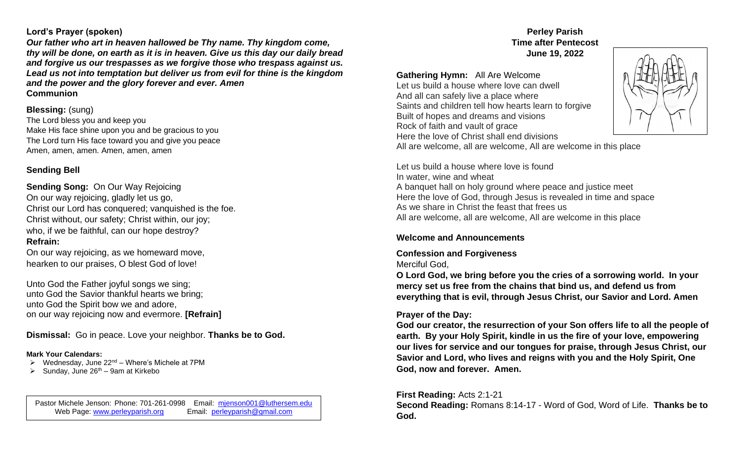### **Lord's Prayer (spoken)**

*Our father who art in heaven hallowed be Thy name. Thy kingdom come, thy will be done, on earth as it is in heaven. Give us this day our daily bread and forgive us our trespasses as we forgive those who trespass against us. Lead us not into temptation but deliver us from evil for thine is the kingdom and the power and the glory forever and ever. Amen* **Communion**

## **Blessing:** (sung)

The Lord bless you and keep you Make His face shine upon you and be gracious to you The Lord turn His face toward you and give you peace Amen, amen, amen. Amen, amen, amen

# **Sending Bell**

**Sending Song:** On Our Way Rejoicing On our way rejoicing, gladly let us go, Christ our Lord has conquered; vanquished is the foe. Christ without, our safety; Christ within, our joy; who, if we be faithful, can our hope destroy? **Refrain:** 

On our way rejoicing, as we homeward move, hearken to our praises, O blest God of love!

Unto God the Father joyful songs we sing; unto God the Savior thankful hearts we bring; unto God the Spirit bow we and adore, on our way rejoicing now and evermore. **[Refrain]**

**Dismissal:** Go in peace. Love your neighbor. **Thanks be to God.** 

### **Mark Your Calendars:**

- $\triangleright$  Wednesday, June 22<sup>nd</sup> Where's Michele at 7PM
- $\triangleright$  Sunday, June 26<sup>th</sup> 9am at Kirkebo

Pastor Michele Jenson: Phone: 701-261-0998 Email: mienson001@luthersem.edu<br>Web Page: www.perleyparish.org Email: perleyparish@gmail.com Web Page: [www.perleyparish.org](http://www.perleyparish.org/)

### **Perley Parish Time after Pentecost June 19, 2022**

## **Gathering Hymn:** All Are Welcome

Let us build a house where love can dwell And all can safely live a place where Saints and children tell how hearts learn to forgive Built of hopes and dreams and visions Rock of faith and vault of grace Here the love of Christ shall end divisions All are welcome, all are welcome, All are welcome in this place



Let us build a house where love is found In water, wine and wheat A banquet hall on holy ground where peace and justice meet Here the love of God, through Jesus is revealed in time and space As we share in Christ the feast that frees us All are welcome, all are welcome, All are welcome in this place

### **Welcome and Announcements**

**Confession and Forgiveness**

Merciful God,

**O Lord God, we bring before you the cries of a sorrowing world. In your mercy set us free from the chains that bind us, and defend us from everything that is evil, through Jesus Christ, our Savior and Lord. Amen**

### **Prayer of the Day:**

**God our creator, the resurrection of your Son offers life to all the people of earth. By your Holy Spirit, kindle in us the fire of your love, empowering our lives for service and our tongues for praise, through Jesus Christ, our Savior and Lord, who lives and reigns with you and the Holy Spirit, One God, now and forever. Amen.** 

### **First Reading:** Acts 2:1-21

**Second Reading:** Romans 8:14-17 - Word of God, Word of Life. **Thanks be to God.**